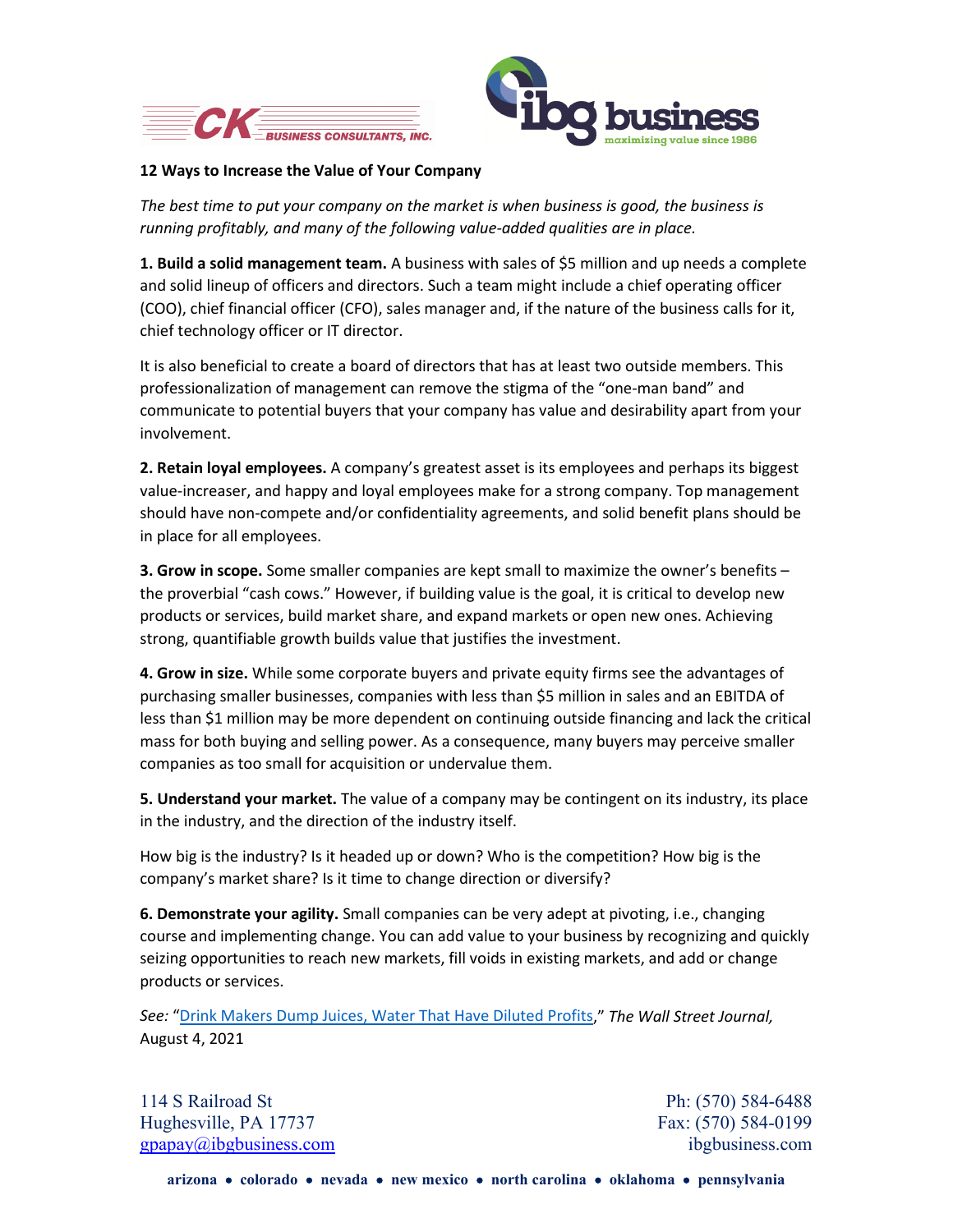



## **12 Ways to Increase the Value of Your Company**

*The best time to put your company on the market is when business is good, the business is running profitably, and many of the following value-added qualities are in place.*

**1. Build a solid management team.** A business with sales of \$5 million and up needs a complete and solid lineup of officers and directors. Such a team might include a chief operating officer (COO), chief financial officer (CFO), sales manager and, if the nature of the business calls for it, chief technology officer or IT director.

It is also beneficial to create a board of directors that has at least two outside members. This professionalization of management can remove the stigma of the "one-man band" and communicate to potential buyers that your company has value and desirability apart from your involvement.

**2. Retain loyal employees.** A company's greatest asset is its employees and perhaps its biggest value-increaser, and happy and loyal employees make for a strong company. Top management should have non-compete and/or confidentiality agreements, and solid benefit plans should be in place for all employees.

**3. Grow in scope.** Some smaller companies are kept small to maximize the owner's benefits – the proverbial "cash cows." However, if building value is the goal, it is critical to develop new products or services, build market share, and expand markets or open new ones. Achieving strong, quantifiable growth builds value that justifies the investment.

**4. Grow in size.** While some corporate buyers and private equity firms see the advantages of purchasing smaller businesses, companies with less than \$5 million in sales and an EBITDA of less than \$1 million may be more dependent on continuing outside financing and lack the critical mass for both buying and selling power. As a consequence, many buyers may perceive smaller companies as too small for acquisition or undervalue them.

**5. Understand your market.** The value of a company may be contingent on its industry, its place in the industry, and the direction of the industry itself.

How big is the industry? Is it headed up or down? Who is the competition? How big is the company's market share? Is it time to change direction or diversify?

**6. Demonstrate your agility.** Small companies can be very adept at pivoting, i.e., changing course and implementing change. You can add value to your business by recognizing and quickly seizing opportunities to reach new markets, fill voids in existing markets, and add or change products or services.

*See:* ["Drink Makers Dump Juices, Water That Have Diluted Profits,](https://www.wsj.com/articles/drink-makers-dump-juices-water-that-have-diluted-profits-11628079377?st=fs98moikdkctih3&reflink=article_email_share)" *The Wall Street Journal,* August 4, 2021

114 S Railroad St Ph: (570) 584-6488 Hughesville, PA 17737 Fax: (570) 584-0199 [gpapay@ibgbusiness.com](mailto:gpapay@ibgbusiness.com) ibgbusiness.com ibgbusiness.com ibgbusiness.com

**arizona** • **colorado** • **nevada** • **new mexico** • **north carolina** • **oklahoma** • **pennsylvania**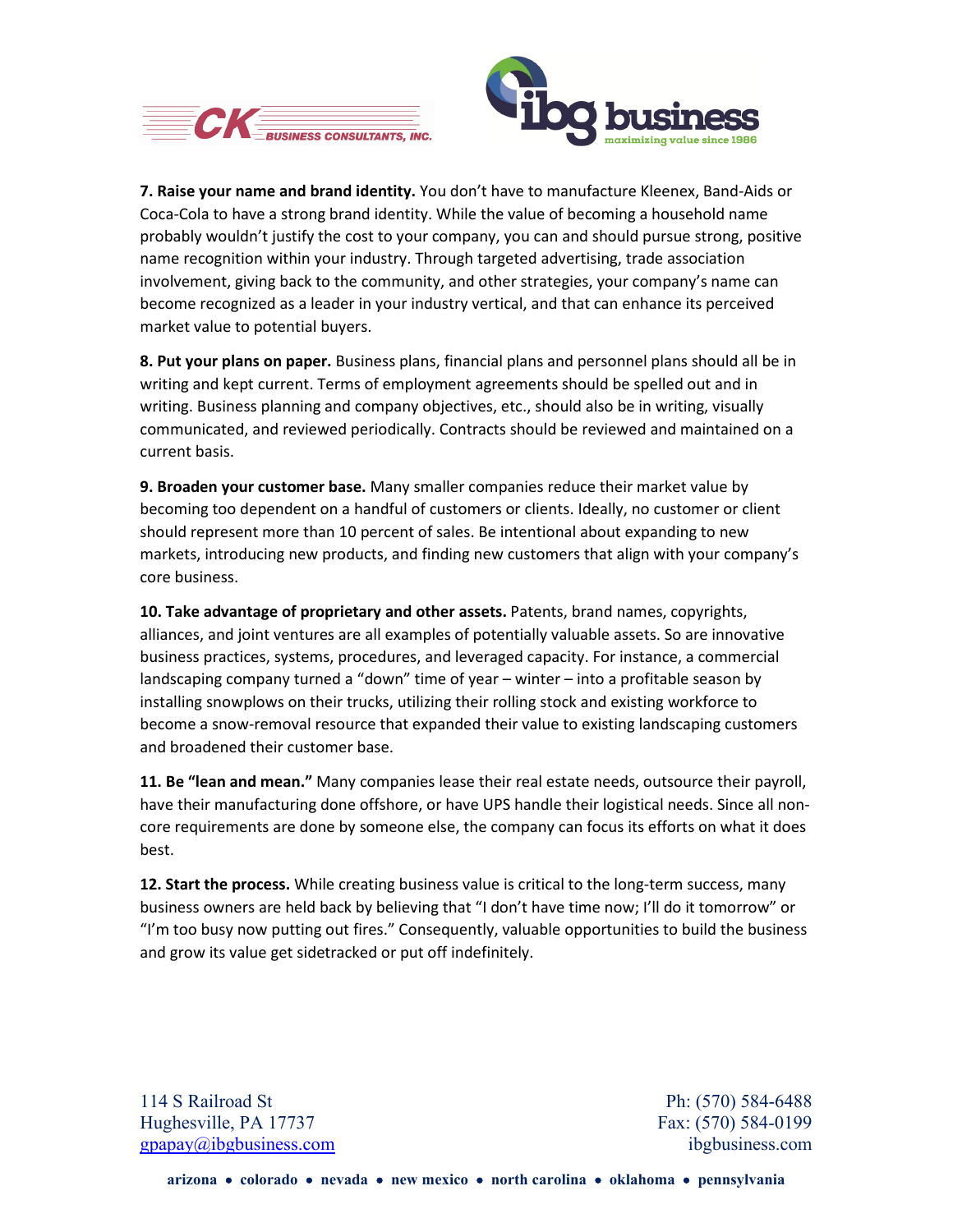



**7. Raise your name and brand identity.** You don't have to manufacture Kleenex, Band-Aids or Coca-Cola to have a strong brand identity. While the value of becoming a household name probably wouldn't justify the cost to your company, you can and should pursue strong, positive name recognition within your industry. Through targeted advertising, trade association involvement, giving back to the community, and other strategies, your company's name can become recognized as a leader in your industry vertical, and that can enhance its perceived market value to potential buyers.

**8. Put your plans on paper.** Business plans, financial plans and personnel plans should all be in writing and kept current. Terms of employment agreements should be spelled out and in writing. Business planning and company objectives, etc., should also be in writing, visually communicated, and reviewed periodically. Contracts should be reviewed and maintained on a current basis.

**9. Broaden your customer base.** Many smaller companies reduce their market value by becoming too dependent on a handful of customers or clients. Ideally, no customer or client should represent more than 10 percent of sales. Be intentional about expanding to new markets, introducing new products, and finding new customers that align with your company's core business.

**10. Take advantage of proprietary and other assets.** Patents, brand names, copyrights, alliances, and joint ventures are all examples of potentially valuable assets. So are innovative business practices, systems, procedures, and leveraged capacity. For instance, a commercial landscaping company turned a "down" time of year – winter – into a profitable season by installing snowplows on their trucks, utilizing their rolling stock and existing workforce to become a snow-removal resource that expanded their value to existing landscaping customers and broadened their customer base.

**11. Be "lean and mean."** Many companies lease their real estate needs, outsource their payroll, have their manufacturing done offshore, or have UPS handle their logistical needs. Since all noncore requirements are done by someone else, the company can focus its efforts on what it does best.

**12. Start the process.** While creating business value is critical to the long-term success, many business owners are held back by believing that "I don't have time now; I'll do it tomorrow" or "I'm too busy now putting out fires." Consequently, valuable opportunities to build the business and grow its value get sidetracked or put off indefinitely.

114 S Railroad St Ph: (570) 584-6488 Hughesville, PA 17737 Fax: (570) 584-0199 [gpapay@ibgbusiness.com](mailto:gpapay@ibgbusiness.com) ibgbusiness.com ibgbusiness.com ibgbusiness.com

**arizona** • **colorado** • **nevada** • **new mexico** • **north carolina** • **oklahoma** • **pennsylvania**